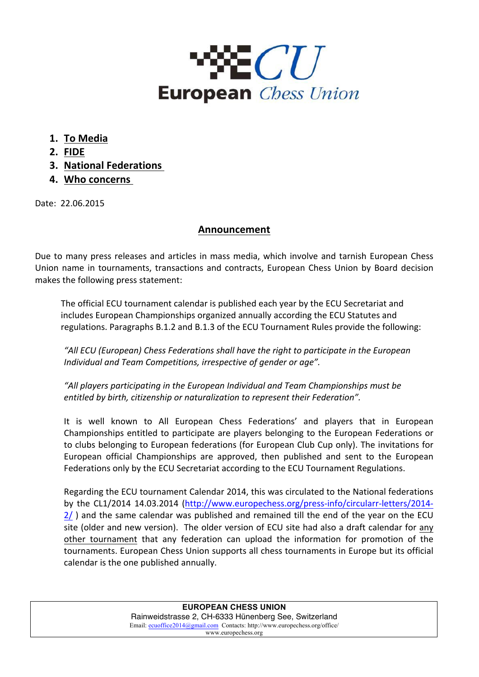

- **1. To Media**
- **2. FIDE**
- **3. National Federations**
- **4. Who concerns**

Date: 22.06.2015

## **Announcement**

Due to many press releases and articles in mass media, which involve and tarnish European Chess Union name in tournaments, transactions and contracts, European Chess Union by Board decision makes the following press statement:

The official ECU tournament calendar is published each year by the ECU Secretariat and includes European Championships organized annually according the ECU Statutes and regulations. Paragraphs B.1.2 and B.1.3 of the ECU Tournament Rules provide the following:

"All ECU (European) Chess Federations shall have the right to participate in the European Individual and Team Competitions, irrespective of gender or age".

"All players participating in the European Individual and Team Championships must be *entitled by birth, citizenship or naturalization to represent their Federation".* 

It is well known to All European Chess Federations' and players that in European Championships entitled to participate are players belonging to the European Federations or to clubs belonging to European federations (for European Club Cup only). The invitations for European official Championships are approved, then published and sent to the European Federations only by the ECU Secretariat according to the ECU Tournament Regulations.

Regarding the ECU tournament Calendar 2014, this was circulated to the National federations by the CL1/2014 14.03.2014 (http://www.europechess.org/press-info/circularr-letters/2014- $2/$ ) and the same calendar was published and remained till the end of the year on the ECU site (older and new version). The older version of ECU site had also a draft calendar for any other tournament that any federation can upload the information for promotion of the tournaments. European Chess Union supports all chess tournaments in Europe but its official calendar is the one published annually.